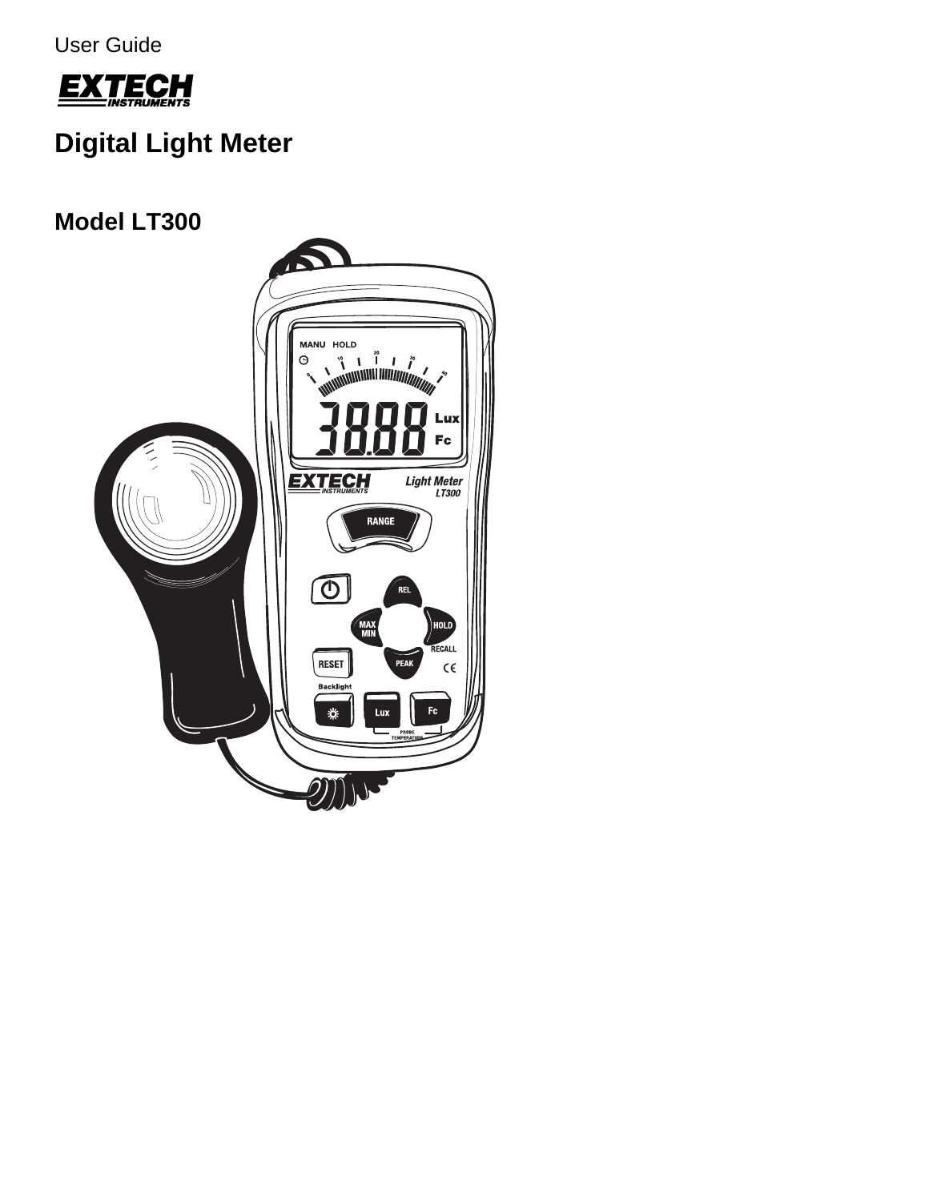User Guide



# **Digital Light Meter**

## **Model LT300**

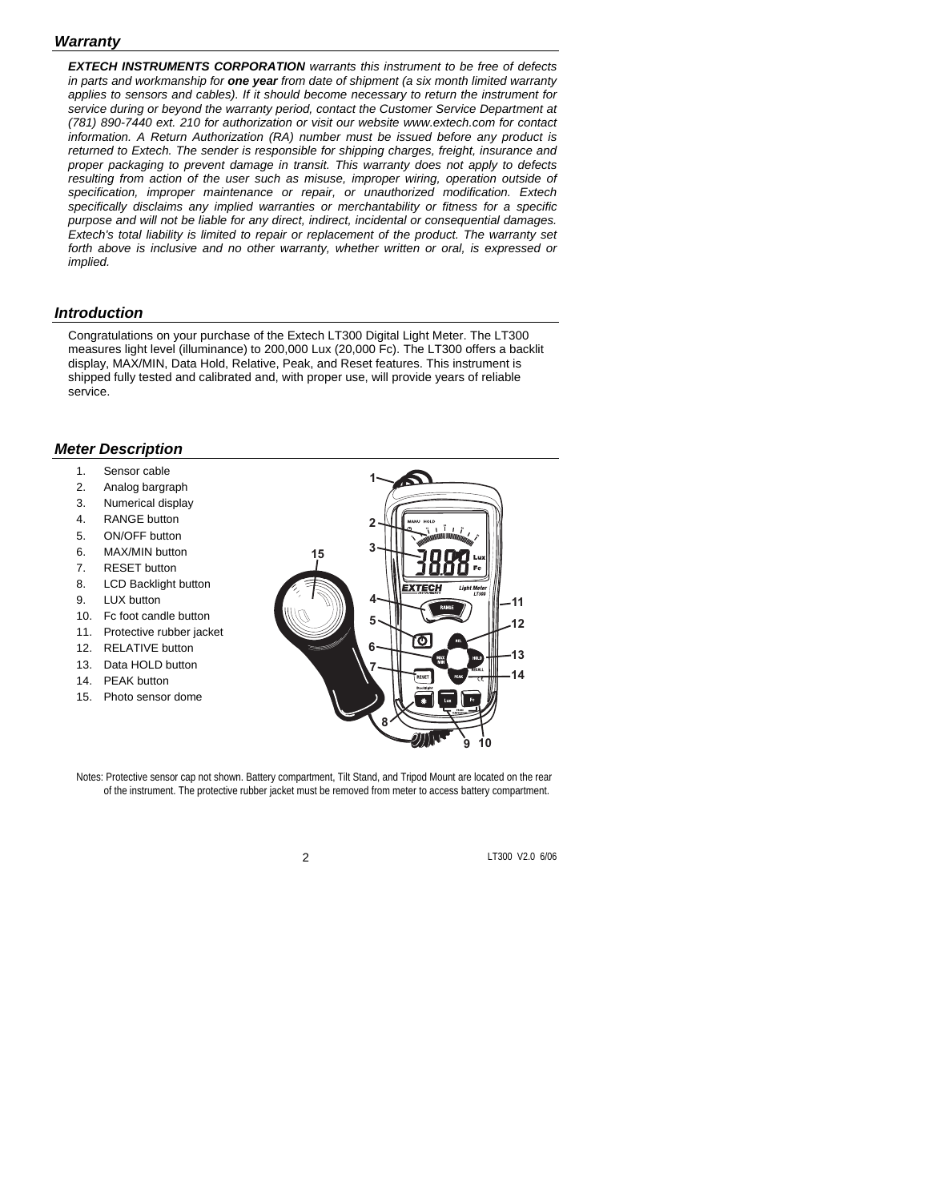#### *Warranty*

*EXTECH INSTRUMENTS CORPORATION warrants this instrument to be free of defects in parts and workmanship for one year from date of shipment (a six month limited warranty applies to sensors and cables). If it should become necessary to return the instrument for service during or beyond the warranty period, contact the Customer Service Department at (781) 890-7440 ext. 210 for authorization or visit our website www.extech.com for contact information. A Return Authorization (RA) number must be issued before any product is returned to Extech. The sender is responsible for shipping charges, freight, insurance and proper packaging to prevent damage in transit. This warranty does not apply to defects*  resulting from action of the user such as misuse, improper wiring, operation outside of *specification, improper maintenance or repair, or unauthorized modification. Extech specifically disclaims any implied warranties or merchantability or fitness for a specific purpose and will not be liable for any direct, indirect, incidental or consequential damages. Extech's total liability is limited to repair or replacement of the product. The warranty set forth above is inclusive and no other warranty, whether written or oral, is expressed or implied.* 

#### *Introduction*

Congratulations on your purchase of the Extech LT300 Digital Light Meter. The LT300 measures light level (illuminance) to 200,000 Lux (20,000 Fc). The LT300 offers a backlit display, MAX/MIN, Data Hold, Relative, Peak, and Reset features. This instrument is shipped fully tested and calibrated and, with proper use, will provide years of reliable service.

#### *Meter Description*

- 1. Sensor cable
- 2. Analog bargraph
- 3. Numerical display
- 4. RANGE button
- 5. ON/OFF button
- 6. MAX/MIN button
- 7. RESET button
- 8. LCD Backlight button
- 9. LUX button
- 10. Fc foot candle button
- 11. Protective rubber jacket
- 12. RELATIVE button
- 13. Data HOLD button
- 14. PEAK button
- 15. Photo sensor dome



Notes: Protective sensor cap not shown. Battery compartment, Tilt Stand, and Tripod Mount are located on the rear of the instrument. The protective rubber jacket must be removed from meter to access battery compartment.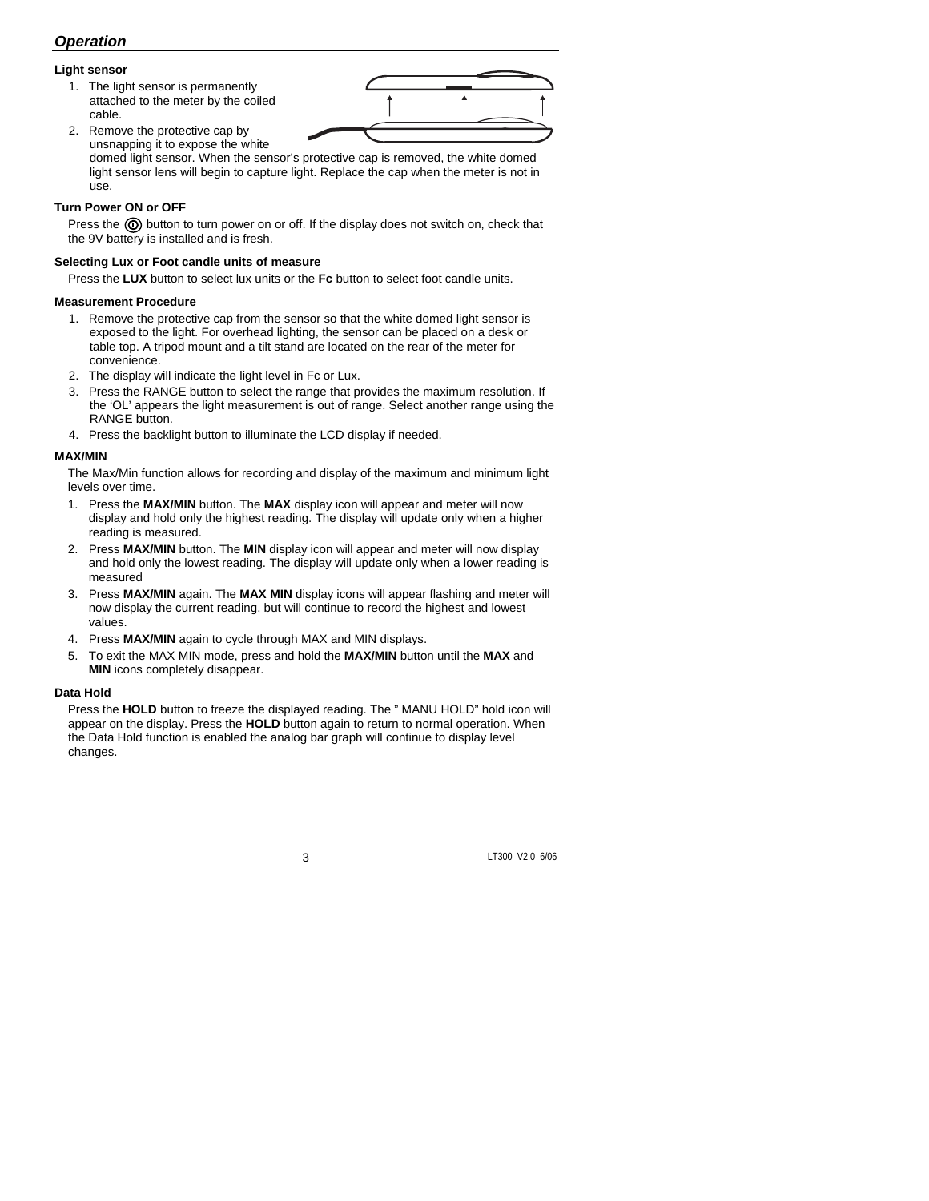## *Operation*

#### **Light sensor**

1. The light sensor is permanently attached to the meter by the coiled cable.

2. Remove the protective cap by

unsnapping it to expose the white domed light sensor. When the sensor's protective cap is removed, the white domed light sensor lens will begin to capture light. Replace the cap when the meter is not in use.

#### **Turn Power ON or OFF**

Press the  $\circled{0}$  button to turn power on or off. If the display does not switch on, check that the 9V battery is installed and is fresh.

#### **Selecting Lux or Foot candle units of measure**

Press the **LUX** button to select lux units or the **Fc** button to select foot candle units.

#### **Measurement Procedure**

- 1. Remove the protective cap from the sensor so that the white domed light sensor is exposed to the light. For overhead lighting, the sensor can be placed on a desk or table top. A tripod mount and a tilt stand are located on the rear of the meter for convenience.
- 2. The display will indicate the light level in Fc or Lux.
- 3. Press the RANGE button to select the range that provides the maximum resolution. If the 'OL' appears the light measurement is out of range. Select another range using the RANGE button.
- 4. Press the backlight button to illuminate the LCD display if needed.

#### **MAX/MIN**

The Max/Min function allows for recording and display of the maximum and minimum light levels over time.

- 1. Press the **MAX/MIN** button. The **MAX** display icon will appear and meter will now display and hold only the highest reading. The display will update only when a higher reading is measured.
- 2. Press **MAX/MIN** button. The **MIN** display icon will appear and meter will now display and hold only the lowest reading. The display will update only when a lower reading is measured
- 3. Press **MAX/MIN** again. The **MAX MIN** display icons will appear flashing and meter will now display the current reading, but will continue to record the highest and lowest values.
- 4. Press **MAX/MIN** again to cycle through MAX and MIN displays.
- 5. To exit the MAX MIN mode, press and hold the **MAX/MIN** button until the **MAX** and **MIN** icons completely disappear.

#### **Data Hold**

Press the **HOLD** button to freeze the displayed reading. The " MANU HOLD" hold icon will appear on the display. Press the **HOLD** button again to return to normal operation. When the Data Hold function is enabled the analog bar graph will continue to display level changes.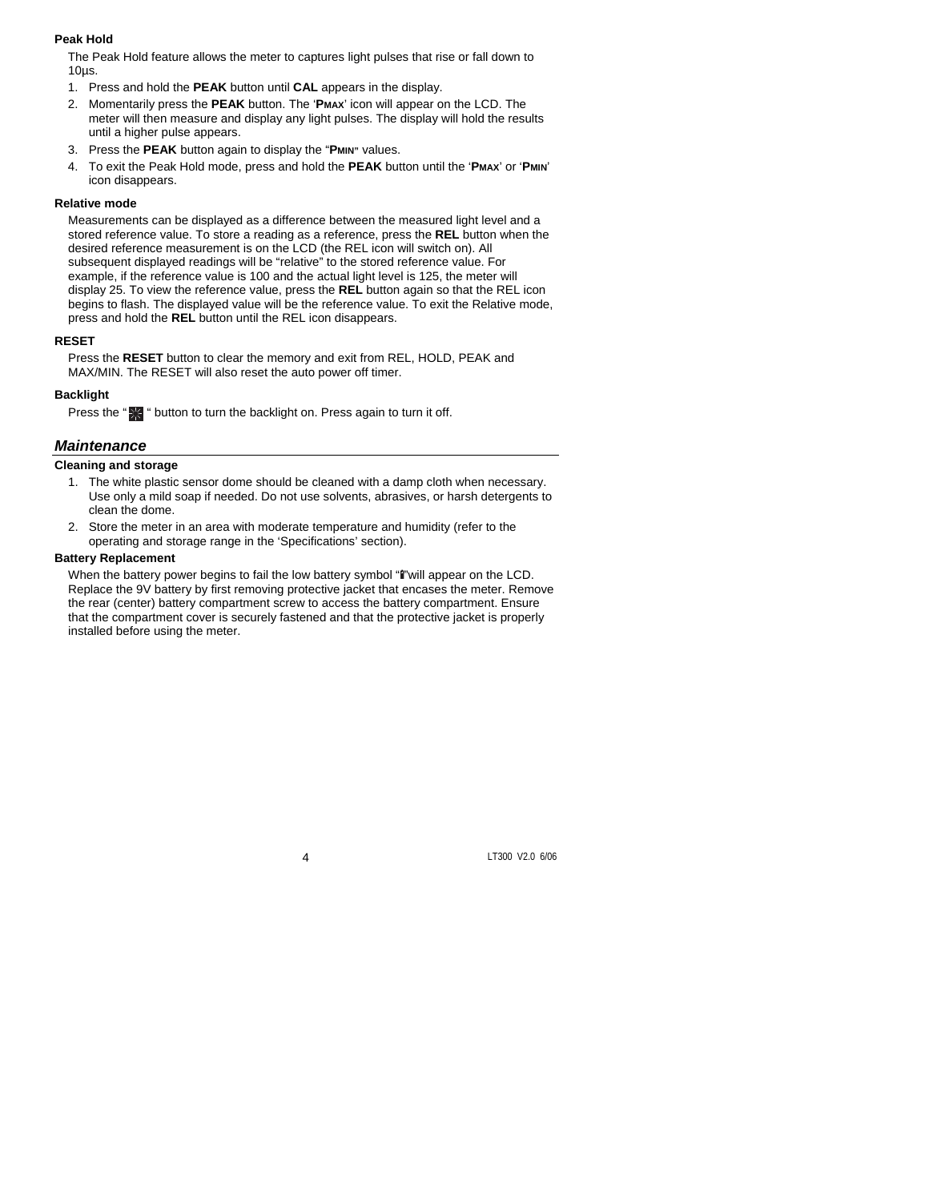#### **Peak Hold**

The Peak Hold feature allows the meter to captures light pulses that rise or fall down to 10µs.

- 1. Press and hold the **PEAK** button until **CAL** appears in the display.
- 2. Momentarily press the **PEAK** button. The '**PMAX**' icon will appear on the LCD. The meter will then measure and display any light pulses. The display will hold the results until a higher pulse appears.
- 3. Press the **PEAK** button again to display the "**PMIN"** values.
- 4. To exit the Peak Hold mode, press and hold the **PEAK** button until the '**PMAX**' or '**PMIN**' icon disappears.

#### **Relative mode**

Measurements can be displayed as a difference between the measured light level and a stored reference value. To store a reading as a reference, press the **REL** button when the desired reference measurement is on the LCD (the REL icon will switch on). All subsequent displayed readings will be "relative" to the stored reference value. For example, if the reference value is 100 and the actual light level is 125, the meter will display 25. To view the reference value, press the **REL** button again so that the REL icon begins to flash. The displayed value will be the reference value. To exit the Relative mode, press and hold the **REL** button until the REL icon disappears.

#### **RESET**

Press the **RESET** button to clear the memory and exit from REL, HOLD, PEAK and MAX/MIN. The RESET will also reset the auto power off timer.

#### **Backlight**

Press the "<sup>22</sup> " button to turn the backlight on. Press again to turn it off.

#### *Maintenance*

#### **Cleaning and storage**

- 1. The white plastic sensor dome should be cleaned with a damp cloth when necessary. Use only a mild soap if needed. Do not use solvents, abrasives, or harsh detergents to clean the dome.
- 2. Store the meter in an area with moderate temperature and humidity (refer to the operating and storage range in the 'Specifications' section).

#### **Battery Replacement**

When the battery power begins to fail the low battery symbol "" "will appear on the LCD. Replace the 9V battery by first removing protective jacket that encases the meter. Remove the rear (center) battery compartment screw to access the battery compartment. Ensure that the compartment cover is securely fastened and that the protective jacket is properly installed before using the meter.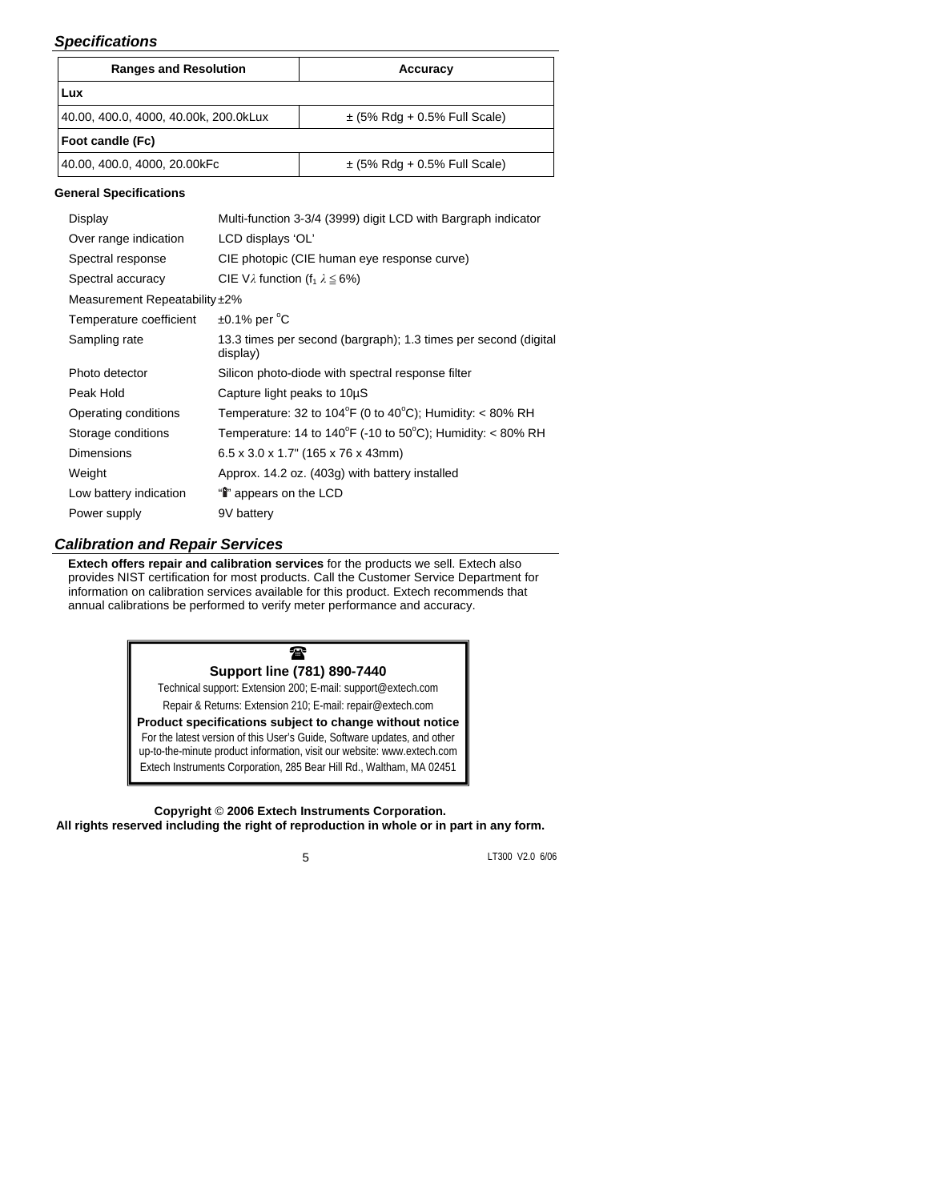## *Specifications*

| <b>Ranges and Resolution</b>          |                                                                                | Accuracy                         |  |  |  |  |
|---------------------------------------|--------------------------------------------------------------------------------|----------------------------------|--|--|--|--|
| Lux                                   |                                                                                |                                  |  |  |  |  |
| 40.00, 400.0, 4000, 40.00k, 200.0kLux |                                                                                | $\pm$ (5% Rdg + 0.5% Full Scale) |  |  |  |  |
| Foot candle (Fc)                      |                                                                                |                                  |  |  |  |  |
| 40.00, 400.0, 4000, 20.00kFc          |                                                                                | $\pm$ (5% Rdg + 0.5% Full Scale) |  |  |  |  |
| <b>General Specifications</b>         |                                                                                |                                  |  |  |  |  |
| Display                               | Multi-function 3-3/4 (3999) digit LCD with Bargraph indicator                  |                                  |  |  |  |  |
| Over range indication                 | LCD displays 'OL'                                                              |                                  |  |  |  |  |
| Spectral response                     | CIE photopic (CIE human eye response curve)                                    |                                  |  |  |  |  |
| Spectral accuracy                     | CIE V $\lambda$ function (f <sub>1</sub> $\lambda \le 6\%$ )                   |                                  |  |  |  |  |
| Measurement Repeatability ±2%         |                                                                                |                                  |  |  |  |  |
| Temperature coefficient               | $\pm$ 0.1% per $^{\circ}$ C                                                    |                                  |  |  |  |  |
| Sampling rate                         | 13.3 times per second (bargraph); 1.3 times per second (digital<br>display)    |                                  |  |  |  |  |
| Photo detector                        | Silicon photo-diode with spectral response filter                              |                                  |  |  |  |  |
| Peak Hold                             | Capture light peaks to 10µS                                                    |                                  |  |  |  |  |
| Operating conditions                  | Temperature: 32 to 104 $\degree$ F (0 to 40 $\degree$ C); Humidity: < 80% RH   |                                  |  |  |  |  |
| Storage conditions                    | Temperature: 14 to $140^{\circ}F$ (-10 to 50 $^{\circ}C$ ); Humidity: < 80% RH |                                  |  |  |  |  |
| Dimensions                            | $6.5 \times 3.0 \times 1.7$ " (165 x 76 x 43mm)                                |                                  |  |  |  |  |
| Weight                                | Approx. 14.2 oz. (403g) with battery installed                                 |                                  |  |  |  |  |
| Low battery indication                | "in appears on the LCD                                                         |                                  |  |  |  |  |
| Power supply                          | 9V battery                                                                     |                                  |  |  |  |  |

### *Calibration and Repair Services*

**Extech offers repair and calibration services** for the products we sell. Extech also provides NIST certification for most products. Call the Customer Service Department for information on calibration services available for this product. Extech recommends that annual calibrations be performed to verify meter performance and accuracy.



**Copyright** © **2006 Extech Instruments Corporation. All rights reserved including the right of reproduction in whole or in part in any form.**